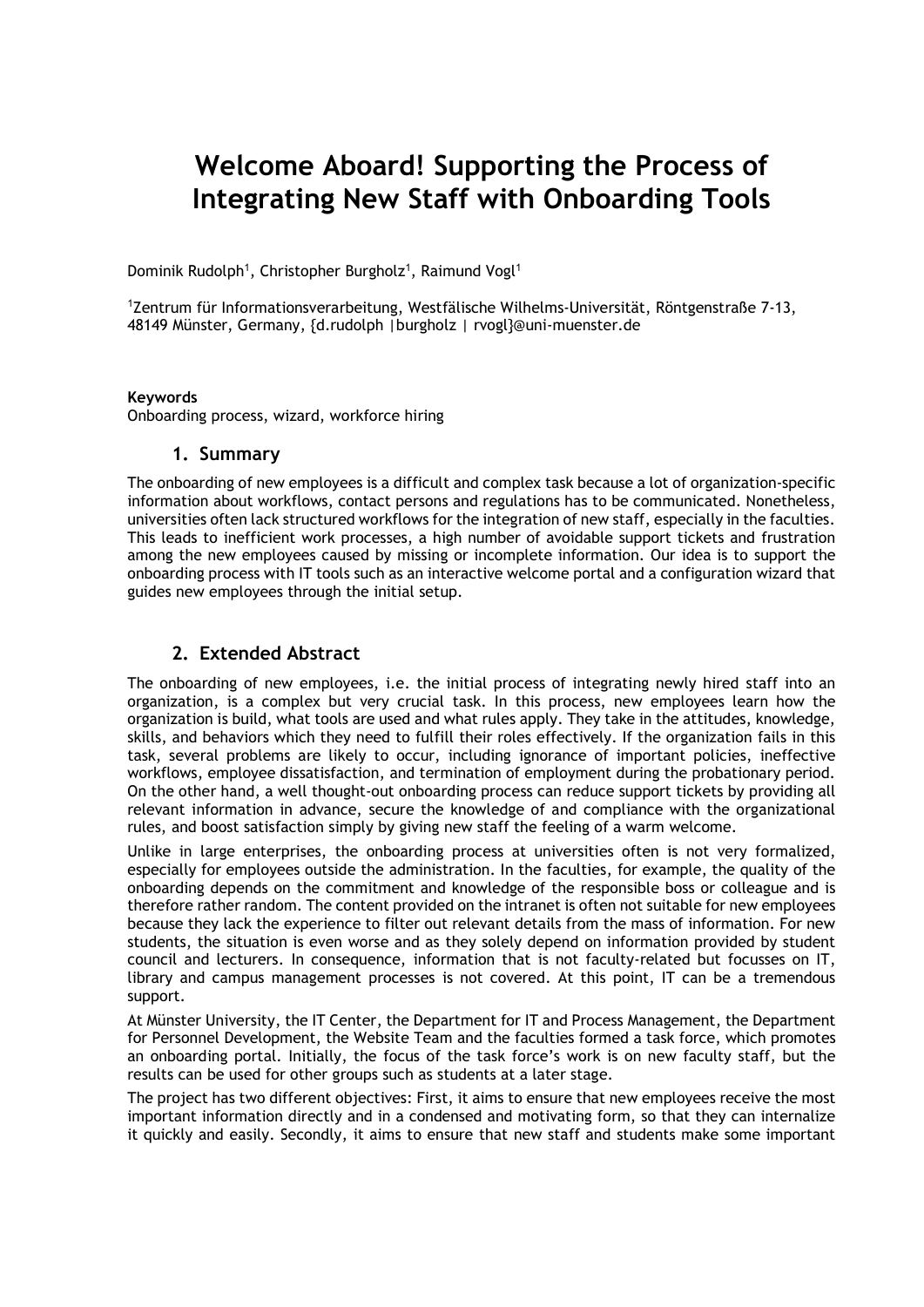# **Welcome Aboard! Supporting the Process of Integrating New Staff with Onboarding Tools**

Dominik Rudolph<sup>1</sup>, Christopher Burgholz<sup>1</sup>, Raimund Vogl<sup>1</sup>

<sup>1</sup>Zentrum für Informationsverarbeitung, Westfälische Wilhelms-Universität, Röntgenstraße 7-13, 48149 Münster, Germany, {d.rudolph |burgholz | rvogl}@uni-muenster.de

#### **Keywords**

Onboarding process, wizard, workforce hiring

### **1. Summary**

The onboarding of new employees is a difficult and complex task because a lot of organization-specific information about workflows, contact persons and regulations has to be communicated. Nonetheless, universities often lack structured workflows for the integration of new staff, especially in the faculties. This leads to inefficient work processes, a high number of avoidable support tickets and frustration among the new employees caused by missing or incomplete information. Our idea is to support the onboarding process with IT tools such as an interactive welcome portal and a configuration wizard that guides new employees through the initial setup.

## **2. Extended Abstract**

The onboarding of new employees, i.e. the initial process of integrating newly hired staff into an organization, is a complex but very crucial task. In this process, new employees learn how the organization is build, what tools are used and what rules apply. They take in the attitudes, knowledge, skills, and behaviors which they need to fulfill their roles effectively. If the organization fails in this task, several problems are likely to occur, including ignorance of important policies, ineffective workflows, employee dissatisfaction, and termination of employment during the probationary period. On the other hand, a well thought-out onboarding process can reduce support tickets by providing all relevant information in advance, secure the knowledge of and compliance with the organizational rules, and boost satisfaction simply by giving new staff the feeling of a warm welcome.

Unlike in large enterprises, the onboarding process at universities often is not very formalized, especially for employees outside the administration. In the faculties, for example, the quality of the onboarding depends on the commitment and knowledge of the responsible boss or colleague and is therefore rather random. The content provided on the intranet is often not suitable for new employees because they lack the experience to filter out relevant details from the mass of information. For new students, the situation is even worse and as they solely depend on information provided by student council and lecturers. In consequence, information that is not faculty-related but focusses on IT, library and campus management processes is not covered. At this point, IT can be a tremendous support.

At Münster University, the IT Center, the Department for IT and Process Management, the Department for Personnel Development, the Website Team and the faculties formed a task force, which promotes an onboarding portal. Initially, the focus of the task force's work is on new faculty staff, but the results can be used for other groups such as students at a later stage.

The project has two different objectives: First, it aims to ensure that new employees receive the most important information directly and in a condensed and motivating form, so that they can internalize it quickly and easily. Secondly, it aims to ensure that new staff and students make some important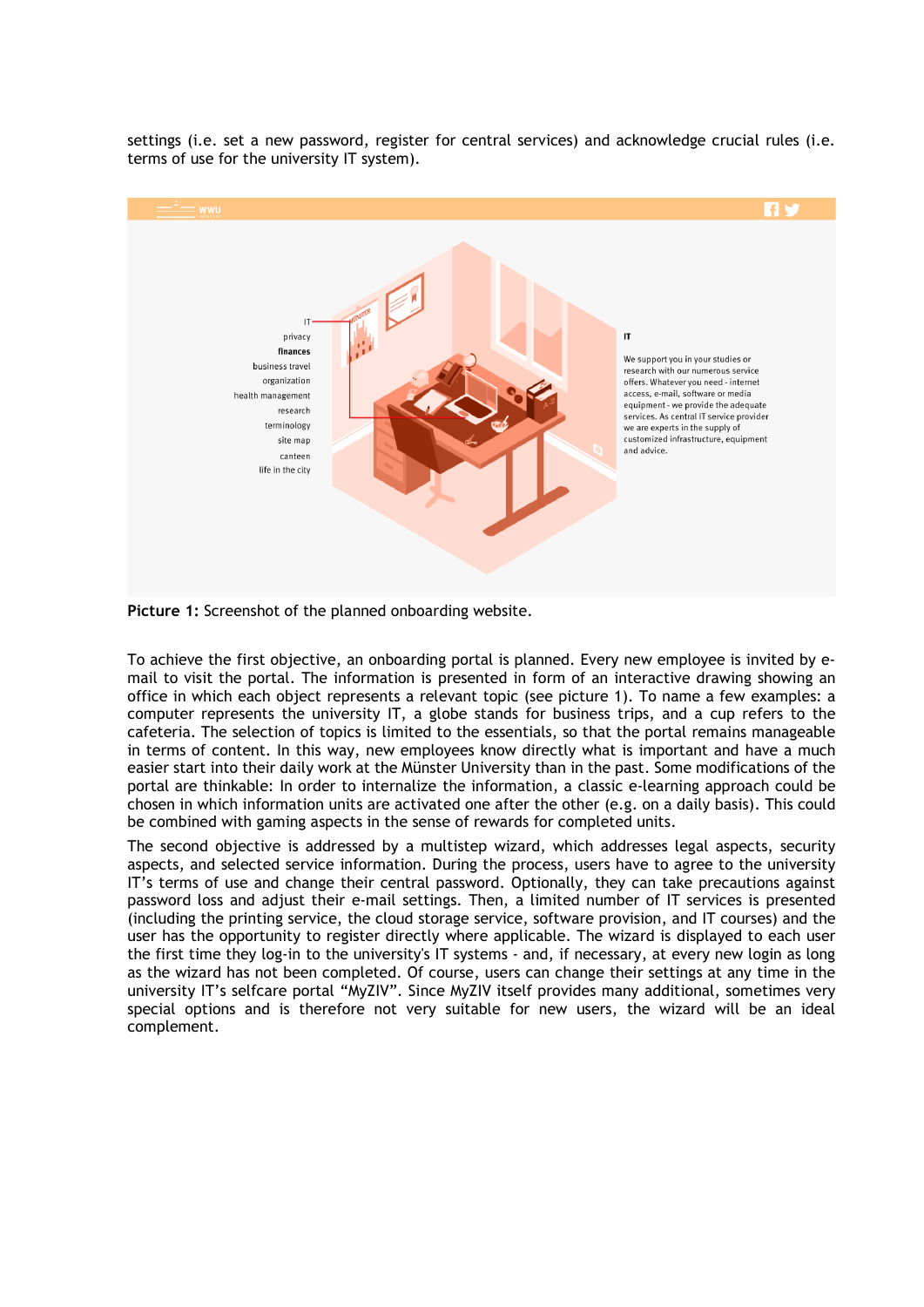settings (i.e. set a new password, register for central services) and acknowledge crucial rules (i.e. terms of use for the university IT system).



**Picture 1:** Screenshot of the planned onboarding website.

To achieve the first objective, an onboarding portal is planned. Every new employee is invited by email to visit the portal. The information is presented in form of an interactive drawing showing an office in which each object represents a relevant topic (see picture 1). To name a few examples: a computer represents the university IT, a globe stands for business trips, and a cup refers to the cafeteria. The selection of topics is limited to the essentials, so that the portal remains manageable in terms of content. In this way, new employees know directly what is important and have a much easier start into their daily work at the Münster University than in the past. Some modifications of the portal are thinkable: In order to internalize the information, a classic e-learning approach could be chosen in which information units are activated one after the other (e.g. on a daily basis). This could be combined with gaming aspects in the sense of rewards for completed units.

The second objective is addressed by a multistep wizard, which addresses legal aspects, security aspects, and selected service information. During the process, users have to agree to the university IT's terms of use and change their central password. Optionally, they can take precautions against password loss and adjust their e-mail settings. Then, a limited number of IT services is presented (including the printing service, the cloud storage service, software provision, and IT courses) and the user has the opportunity to register directly where applicable. The wizard is displayed to each user the first time they log-in to the university's IT systems - and, if necessary, at every new login as long as the wizard has not been completed. Of course, users can change their settings at any time in the university IT's selfcare portal "MyZIV". Since MyZIV itself provides many additional, sometimes very special options and is therefore not very suitable for new users, the wizard will be an ideal complement.